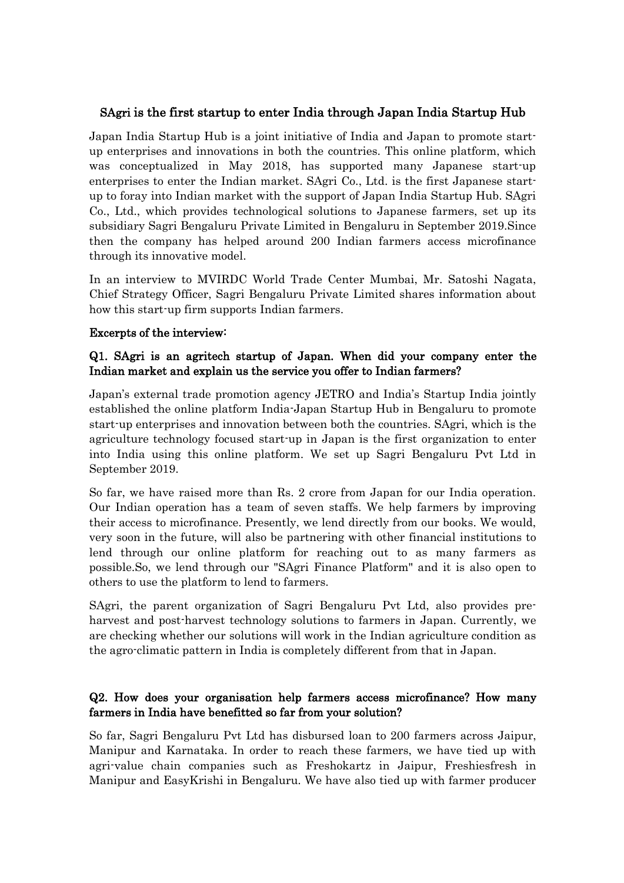## SAgri is the first startup to enter India through Japan India Startup Hub

Japan India Startup Hub is a joint initiative of India and Japan to promote start up enterprises and innovations in both the countries. This online platform, which was conceptualized in May 2018, has supported many Japanese start-up enterprises to enter the Indian market. SAgri Co., Ltd. is the first Japanese start up to foray into Indian market with the support of Japan India Startup Hub. SAgri Co., Ltd., which provides technological solutions to Japanese farmers, set up its subsidiary Sagri Bengaluru Private Limited in Bengaluru in September 2019.Since then the company has helped around 200 Indian farmers access microfinance through its innovative model.

In an interview to MVIRDC World Trade Center Mumbai, Mr. Satoshi Nagata, Chief Strategy Officer, Sagri Bengaluru Private Limited shares information about how this start-up firm supports Indian farmers.

#### Excerpts of the interview:

### Q1. SAgri is an agritech startup of Japan. When did your company enter the Indian market and explain us the service you offer to Indian farmers?

Japan's external trade promotion agency JETRO and India's Startup India jointly established the online platform India-Japan Startup Hub in Bengaluru to promote start-up enterprises and innovation between both the countries. SAgri, which is the agriculture technology focused start-up in Japan is the first organization to enter into India using this online platform. We set up Sagri Bengaluru Pvt Ltd in September 2019.

So far, we have raised more than Rs. 2 crore from Japan for our India operation. Our Indian operation has a team of seven staffs. We help farmers by improving their access to microfinance. Presently, we lend directly from our books. We would, very soon in the future, will also be partnering with other financial institutions to lend through our online platform for reaching out to as many farmers as possible.So, we lend through our "SAgri Finance Platform" and it is also open to others to use the platform to lend to farmers.

SAgri, the parent organization of Sagri Bengaluru Pvt Ltd, also provides pre-harvest and post-harvest technology solutions to farmers in Japan. Currently, we are checking whether our solutions will work in the Indian agriculture condition as the agro-climatic pattern in India is completely different from that in Japan.

### Q2. How does your organisation help farmers access microfinance? How many farmers in India have benefitted so far from your solution?

So far, Sagri Bengaluru Pvt Ltd has disbursed loan to 200 farmers across Jaipur, Manipur and Karnataka. In order to reach these farmers, we have tied up with agri-value chain companies such as Freshokartz in Jaipur, Freshiesfresh in Manipur and EasyKrishi in Bengaluru. We have also tied up with farmer producer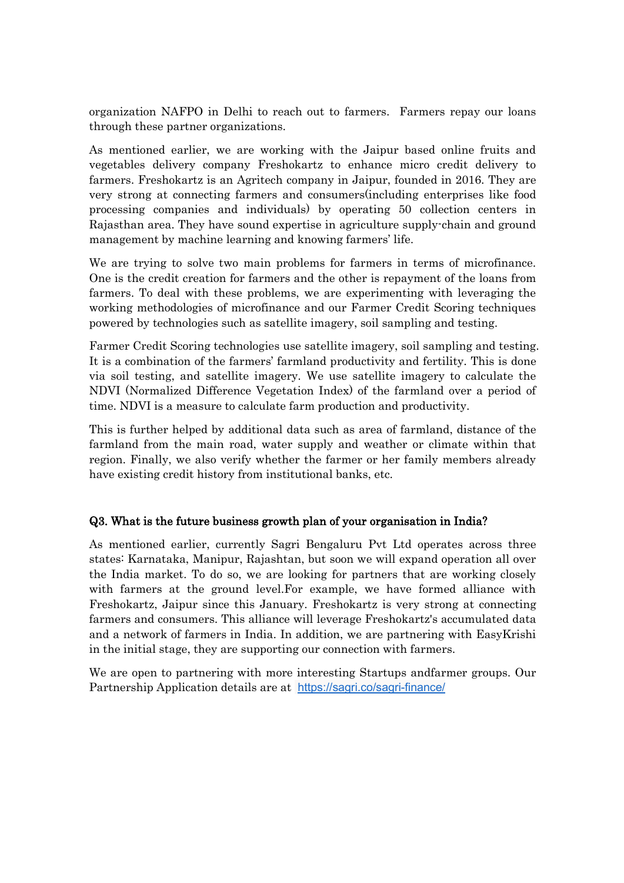organization NAFPO in Delhi to reach out to farmers. Farmers repay our loans through these partner organizations.

As mentioned earlier, we are working with the Jaipur based online fruits and vegetables delivery company Freshokartz to enhance micro credit delivery to farmers. Freshokartz is an Agritech company in Jaipur, founded in 2016. They are very strong at connecting farmers and consumers(including enterprises like food processing companies and individuals) by operating 50 collection centers in Rajasthan area. They have sound expertise in agriculture supply-chain and ground management by machine learning and knowing farmers' life.

We are trying to solve two main problems for farmers in terms of microfinance. One is the credit creation for farmers and the other is repayment of the loans from farmers. To deal with these problems, we are experimenting with leveraging the working methodologies of microfinance and our Farmer Credit Scoring techniques powered by technologies such as satellite imagery, soil sampling and testing.

Farmer Credit Scoring technologies use satellite imagery, soil sampling and testing. It is a combination of the farmers' farmland productivity and fertility. This is done via soil testing, and satellite imagery. We use satellite imagery to calculate the NDVI (Normalized Difference Vegetation Index) of the farmland over a period of time. NDVI is a measure to calculate farm production and productivity.

This is further helped by additional data such as area of farmland, distance of the farmland from the main road, water supply and weather or climate within that region. Finally, we also verify whether the farmer or her family members already have existing credit history from institutional banks, etc.

### Q3. What is the future business growth plan of your organisation in India?

As mentioned earlier, currently Sagri Bengaluru Pvt Ltd operates across three states: Karnataka, Manipur, Rajashtan, but soon we will expand operation all over the India market. To do so, we are looking for partners that are working closely with farmers at the ground level.For example, we have formed alliance with Freshokartz, Jaipur since this January. Freshokartz is very strong at connecting farmers and consumers. This alliance will leverage Freshokartz's accumulated data and a network of farmers in India. In addition, we are partnering with EasyKrishi in the initial stage, they are supporting ourconnection with farmers.

We are open to partnering with more interesting Startups andfarmer groups. Our Partnership Application details are at <https://sagri.co/sagri-finance/>